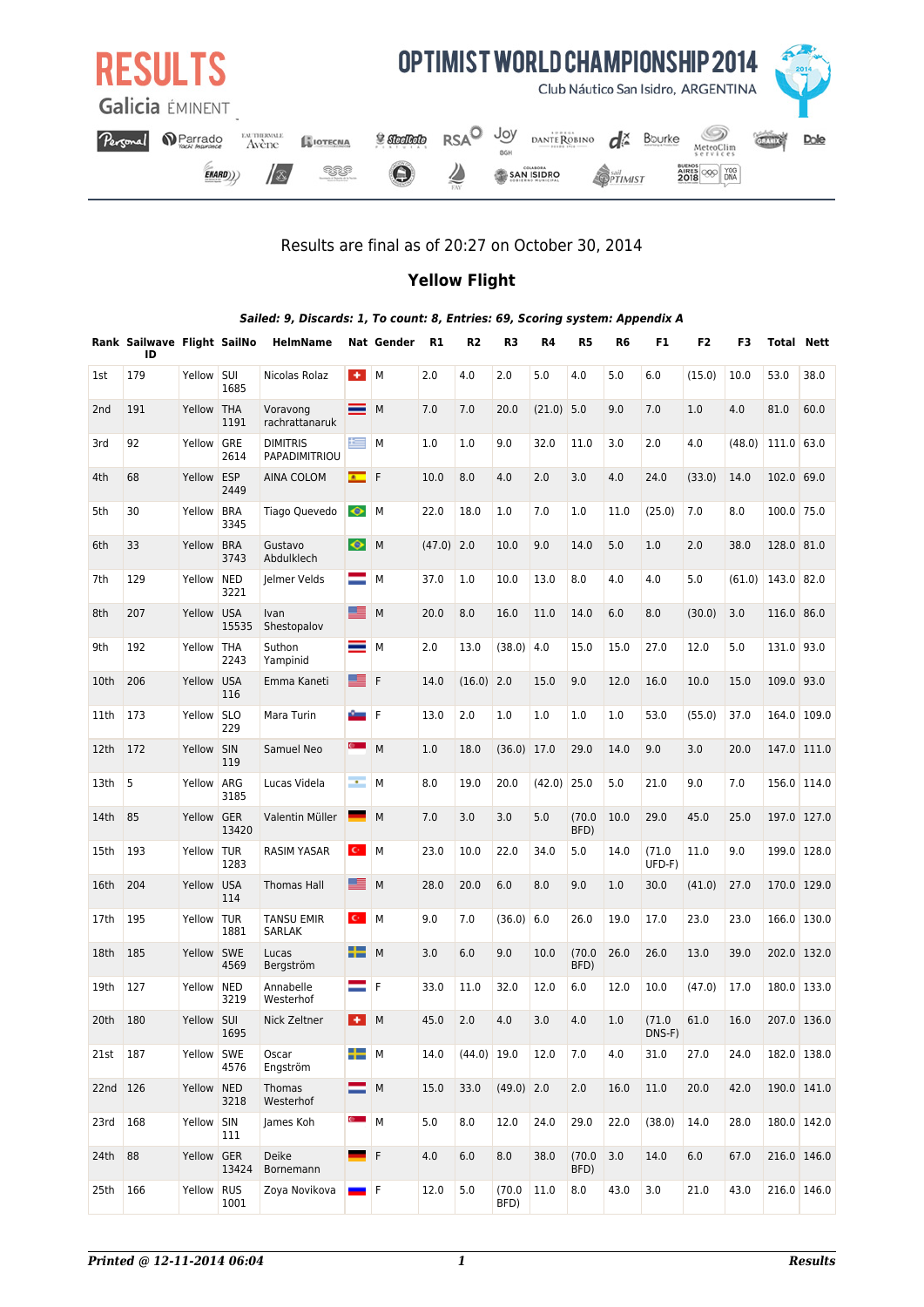

### Results are final as of 20:27 on October 30, 2014

### **Yellow Flight**

|                 | Sailed: 9, Discards: 1, To count: 8, Entries: 69, Scoring system: Appendix A<br>R <sub>2</sub><br>R3<br>R4<br>R <sub>5</sub><br>R <sub>6</sub><br>F1<br>F <sub>2</sub><br>Rank Sailwave Flight SailNo<br><b>HelmName</b><br><b>Nat Gender</b><br>R1<br>F3<br><b>Total Nett</b> |            |                    |                                    |                      |             |              |               |                |        |                |      |                 |        |        |             |             |
|-----------------|--------------------------------------------------------------------------------------------------------------------------------------------------------------------------------------------------------------------------------------------------------------------------------|------------|--------------------|------------------------------------|----------------------|-------------|--------------|---------------|----------------|--------|----------------|------|-----------------|--------|--------|-------------|-------------|
|                 | ID                                                                                                                                                                                                                                                                             |            |                    |                                    |                      |             |              |               |                |        |                |      |                 |        |        |             |             |
| 1st             | 179                                                                                                                                                                                                                                                                            | Yellow     | SUI<br>1685        | Nicolas Rolaz                      | $+1$                 | M           | 2.0          | 4.0           | 2.0            | 5.0    | 4.0            | 5.0  | 6.0             | (15.0) | 10.0   | 53.0        | 38.0        |
| 2 <sub>nd</sub> | 191                                                                                                                                                                                                                                                                            | Yellow THA | 1191               | Voravong<br>rachrattanaruk         | ═                    | M           | 7.0          | 7.0           | 20.0           | (21.0) | 5.0            | 9.0  | 7.0             | 1.0    | 4.0    | 81.0        | 60.0        |
| 3rd             | 92                                                                                                                                                                                                                                                                             | Yellow GRE | 2614               | <b>DIMITRIS</b><br>PAPADIMITRIOU   | 兰                    | M           | 1.0          | 1.0           | 9.0            | 32.0   | 11.0           | 3.0  | 2.0             | 4.0    | (48.0) | 111.0 63.0  |             |
| 4th             | 68                                                                                                                                                                                                                                                                             | Yellow ESP | 2449               | AINA COLOM                         | $\bullet$            | F           | 10.0         | 8.0           | 4.0            | 2.0    | 3.0            | 4.0  | 24.0            | (33.0) | 14.0   | 102.0 69.0  |             |
| 5th             | 30                                                                                                                                                                                                                                                                             | Yellow     | <b>BRA</b><br>3345 | Tiago Quevedo                      | $\bullet$            | M           | 22.0         | 18.0          | 1.0            | 7.0    | 1.0            | 11.0 | (25.0)          | $7.0$  | 8.0    | 100.0 75.0  |             |
| 6th             | 33                                                                                                                                                                                                                                                                             | Yellow     | <b>BRA</b><br>3743 | Gustavo<br>Abdulklech              | $\bullet$            | M           | $(47.0)$ 2.0 |               | 10.0           | 9.0    | 14.0           | 5.0  | 1.0             | 2.0    | 38.0   | 128.0 81.0  |             |
| 7th             | 129                                                                                                                                                                                                                                                                            | Yellow NED | 3221               | Jelmer Velds                       | =                    | M           | 37.0         | 1.0           | 10.0           | 13.0   | 8.0            | 4.0  | 4.0             | 5.0    | (61.0) | 143.0 82.0  |             |
| 8th             | 207                                                                                                                                                                                                                                                                            | Yellow USA | 15535              | Ivan<br>Shestopalov                | ᆤ                    | M           | 20.0         | 8.0           | 16.0           | 11.0   | 14.0           | 6.0  | 8.0             | (30.0) | 3.0    | 116.0 86.0  |             |
| 9th             | 192                                                                                                                                                                                                                                                                            | Yellow THA | 2243               | Suthon<br>Yampinid                 |                      | M           | 2.0          | 13.0          | (38.0)         | 4.0    | 15.0           | 15.0 | 27.0            | 12.0   | 5.0    | 131.0 93.0  |             |
| 10th            | 206                                                                                                                                                                                                                                                                            | Yellow USA | 116                | Emma Kaneti                        | ᆤ                    | F           | 14.0         | $(16.0)$ 2.0  |                | 15.0   | 9.0            | 12.0 | 16.0            | 10.0   | 15.0   | 109.0       | 93.0        |
| 11th            | 173                                                                                                                                                                                                                                                                            | Yellow     | <b>SLO</b><br>229  | Mara Turin                         | <b>C</b>             | F           | 13.0         | 2.0           | 1.0            | 1.0    | 1.0            | 1.0  | 53.0            | (55.0) | 37.0   | 164.0       | 109.0       |
| 12th            | 172                                                                                                                                                                                                                                                                            | Yellow SIN | 119                | Samuel Neo                         | e.                   | M           | 1.0          | 18.0          | (36.0)         | 17.0   | 29.0           | 14.0 | 9.0             | 3.0    | 20.0   | 147.0 111.0 |             |
| 13th            | 5                                                                                                                                                                                                                                                                              | Yellow ARG | 3185               | Lucas Videla                       | m.                   | M           | 8.0          | 19.0          | 20.0           | (42.0) | 25.0           | 5.0  | 21.0            | 9.0    | 7.0    | 156.0 114.0 |             |
| 14th            | 85                                                                                                                                                                                                                                                                             | Yellow GER | 13420              | Valentin Müller                    |                      | M           | 7.0          | 3.0           | 3.0            | 5.0    | (70.0)<br>BFD) | 10.0 | 29.0            | 45.0   | 25.0   | 197.0 127.0 |             |
| 15th            | 193                                                                                                                                                                                                                                                                            | Yellow TUR | 1283               | <b>RASIM YASAR</b>                 | $\mathbf{C}$         | M           | 23.0         | 10.0          | 22.0           | 34.0   | 5.0            | 14.0 | (71.0<br>UFD-F) | 11.0   | 9.0    | 199.0       | 128.0       |
| 16th            | 204                                                                                                                                                                                                                                                                            | Yellow     | <b>USA</b><br>114  | <b>Thomas Hall</b>                 | ᆤ                    | M           | 28.0         | 20.0          | 6.0            | 8.0    | 9.0            | 1.0  | 30.0            | (41.0) | 27.0   | 170.0 129.0 |             |
| 17th            | 195                                                                                                                                                                                                                                                                            | Yellow TUR | 1881               | <b>TANSU EMIR</b><br><b>SARLAK</b> | $\mathbf{C}^{\perp}$ | M           | 9.0          | 7.0           | (36.0)         | 6.0    | 26.0           | 19.0 | 17.0            | 23.0   | 23.0   | 166.0       | 130.0       |
| 18th            | 185                                                                                                                                                                                                                                                                            | Yellow SWE | 4569               | Lucas<br>Bergström                 | ┶                    | M           | 3.0          | 6.0           | 9.0            | 10.0   | (70.0)<br>BFD) | 26.0 | 26.0            | 13.0   | 39.0   | 202.0 132.0 |             |
| 19th            | 127                                                                                                                                                                                                                                                                            | Yellow NED | 3219               | Annabelle<br>Westerhof             | =                    | F           | 33.0         | 11.0          | 32.0           | 12.0   | 6.0            | 12.0 | 10.0            | (47.0) | 17.0   | 180.0 133.0 |             |
| 20th            | 180                                                                                                                                                                                                                                                                            | Yellow SUI | 1695               | Nick Zeltner                       | $H$ M                |             | 45.0         | 2.0           | 4.0            | 3.0    | 4.0            | 1.0  | (71.0<br>DNS-F) | 61.0   | 16.0   | 207.0 136.0 |             |
| 21st            | 187                                                                                                                                                                                                                                                                            | Yellow SWE | 4576               | Oscar<br>Engström                  | ÷                    | ${\sf M}$   | 14.0         | $(44.0)$ 19.0 |                | 12.0   | 7.0            | 4.0  | 31.0            | 27.0   | 24.0   | 182.0 138.0 |             |
| 22nd 126        |                                                                                                                                                                                                                                                                                | Yellow NED | 3218               | Thomas<br>Westerhof                | ▀                    | M           | 15.0         | 33.0          | $(49.0)$ 2.0   |        | 2.0            | 16.0 | 11.0            | 20.0   | 42.0   | 190.0 141.0 |             |
| 23rd            | 168                                                                                                                                                                                                                                                                            | Yellow SIN | 111                | James Koh                          | e.                   | M           | 5.0          | 8.0           | 12.0           | 24.0   | 29.0           | 22.0 | (38.0)          | 14.0   | 28.0   | 180.0 142.0 |             |
| 24th            | 88                                                                                                                                                                                                                                                                             | Yellow GER | 13424              | Deike<br>Bornemann                 |                      | $\mathsf F$ | 4.0          | 6.0           | 8.0            | 38.0   | (70.0)<br>BFD) | 3.0  | 14.0            | 6.0    | 67.0   | 216.0 146.0 |             |
| 25th            | 166                                                                                                                                                                                                                                                                            | Yellow RUS | 1001               | Zoya Novikova                      |                      | F           | 12.0         | 5.0           | (70.0)<br>BFD) | 11.0   | 8.0            | 43.0 | 3.0             | 21.0   | 43.0   |             | 216.0 146.0 |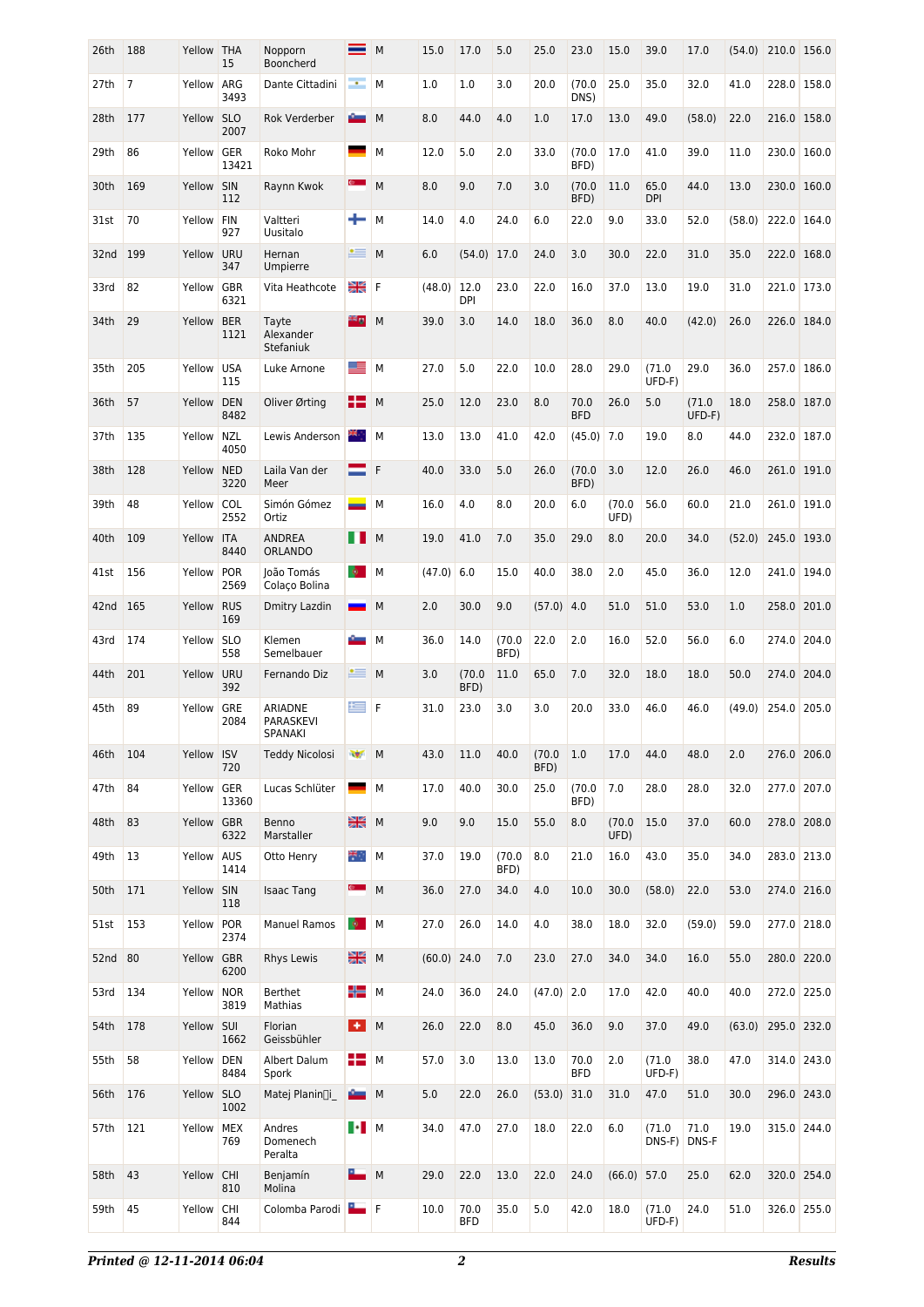| 26th    | 188            | Yellow THA | 15                  | Nopporn<br>Booncherd            |                  | M | 15.0          | 17.0           | 5.0            | 25.0           | 23.0               | 15.0           | 39.0            | 17.0              | (54.0) | 210.0 156.0 |             |
|---------|----------------|------------|---------------------|---------------------------------|------------------|---|---------------|----------------|----------------|----------------|--------------------|----------------|-----------------|-------------------|--------|-------------|-------------|
| 27th    | $\overline{7}$ | Yellow     | ARG<br>3493         | Dante Cittadini                 | m.               | M | 1.0           | 1.0            | 3.0            | 20.0           | (70.0)<br>DNS)     | 25.0           | 35.0            | 32.0              | 41.0   | 228.0       | 158.0       |
| 28th    | 177            | Yellow     | <b>SLO</b><br>2007  | Rok Verderber                   |                  | M | 8.0           | 44.0           | 4.0            | 1.0            | 17.0               | 13.0           | 49.0            | (58.0)            | 22.0   |             | 216.0 158.0 |
| 29th    | 86             | Yellow     | GER<br>13421        | Roko Mohr                       |                  | M | 12.0          | 5.0            | 2.0            | 33.0           | (70.0)<br>BFD)     | 17.0           | 41.0            | 39.0              | 11.0   | 230.0       | 160.0       |
| 30th    | 169            | Yellow     | SIN<br>112          | Raynn Kwok                      | $\bullet$ .      | M | 8.0           | 9.0            | 7.0            | 3.0            | (70.0)<br>BFD)     | 11.0           | 65.0<br>DPI     | 44.0              | 13.0   |             | 230.0 160.0 |
| 31st    | 70             | Yellow     | <b>FIN</b><br>927   | Valtteri<br>Uusitalo            | ÷                | M | 14.0          | 4.0            | 24.0           | 6.0            | 22.0               | 9.0            | 33.0            | 52.0              | (58.0) | 222.0       | 164.0       |
| 32nd    | 199            | Yellow     | URU<br>347          | Hernan<br>Umpierre              | $\bullet$ =      | M | 6.0           | $(54.0)$ 17.0  |                | 24.0           | 3.0                | 30.0           | 22.0            | 31.0              | 35.0   | 222.0       | 168.0       |
| 33rd    | 82             | Yellow     | GBR<br>6321         | Vita Heathcote                  | 질병<br>기준         | F | (48.0)        | 12.0<br>DPI    | 23.0           | 22.0           | 16.0               | 37.0           | 13.0            | 19.0              | 31.0   | 221.0       | 173.0       |
| 34th    | 29             | Yellow     | <b>BER</b><br>1121  | Tayte<br>Alexander<br>Stefaniuk | 22 g             | M | 39.0          | 3.0            | 14.0           | 18.0           | 36.0               | 8.0            | 40.0            | (42.0)            | 26.0   |             | 226.0 184.0 |
| 35th    | 205            | Yellow     | <b>USA</b><br>115   | Luke Arnone                     | ᆤ                | M | 27.0          | 5.0            | 22.0           | 10.0           | 28.0               | 29.0           | (71.0<br>UFD-F) | 29.0              | 36.0   | 257.0       | 186.0       |
| 36th    | 57             | Yellow DEN | 8482                | Oliver Ørting                   | 82               | M | 25.0          | 12.0           | 23.0           | 8.0            | 70.0<br><b>BFD</b> | 26.0           | 5.0             | (71.0<br>UFD-F)   | 18.0   | 258.0       | 187.0       |
| 37th    | 135            | Yellow     | <b>NZL</b><br>4050  | Lewis Anderson                  | ж,               | M | 13.0          | 13.0           | 41.0           | 42.0           | $(45.0)$ 7.0       |                | 19.0            | 8.0               | 44.0   | 232.0       | 187.0       |
| 38th    | 128            | Yellow NED | 3220                | Laila Van der<br>Meer           |                  | F | 40.0          | 33.0           | 5.0            | 26.0           | (70.0)<br>BFD)     | 3.0            | 12.0            | 26.0              | 46.0   |             | 261.0 191.0 |
| 39th    | 48             | Yellow     | COL<br>2552         | Simón Gómez<br>Ortiz            | سن               | M | 16.0          | 4.0            | 8.0            | 20.0           | 6.0                | (70.0)<br>UFD) | 56.0            | 60.0              | 21.0   | 261.0       | 191.0       |
| 40th    | 109            | Yellow ITA | 8440                | <b>ANDREA</b><br><b>ORLANDO</b> | m.               | M | 19.0          | 41.0           | 7.0            | 35.0           | 29.0               | 8.0            | 20.0            | 34.0              | (52.0) |             | 245.0 193.0 |
| 41st    | 156            | Yellow     | <b>POR</b><br>2569  | loão Tomás<br>Colaço Bolina     | $\bullet$        | M | (47.0)        | 6.0            | 15.0           | 40.0           | 38.0               | 2.0            | 45.0            | 36.0              | 12.0   | 241.0       | 194.0       |
| 42nd    | 165            | Yellow     | <b>RUS</b><br>169   | Dmitry Lazdin                   | <b>START</b>     | M | 2.0           | 30.0           | 9.0            | (57.0)         | 4.0                | 51.0           | 51.0            | 53.0              | 1.0    | 258.0       | 201.0       |
| 43rd    | 174            | Yellow     | <b>SLO</b><br>558   | Klemen<br>Semelbauer            |                  | M | 36.0          | 14.0           | (70.0)<br>BFD) | 22.0           | 2.0                | 16.0           | 52.0            | 56.0              | 6.0    | 274.0       | 204.0       |
| 44th    | 201            | Yellow URU | 392                 | Fernando Diz                    | ≝                | M | 3.0           | (70.0)<br>BFD) | 11.0           | 65.0           | 7.0                | 32.0           | 18.0            | 18.0              | 50.0   |             | 274.0 204.0 |
| 45th    | 89             | Yellow     | GRE<br>2084         | ARIADNE<br>PARASKEVI<br>SPANAKI | 兰                | F | 31.0          | 23.0           | 3.0            | 3.0            | 20.0               | 33.0           | 46.0            | 46.0              | (49.0) | 254.0       | 205.0       |
| 46th    | 104            | Yellow ISV | 720                 | <b>Teddy Nicolosi</b>           | w                | M | 43.0          | 11.0           | 40.0           | (70.0)<br>BFD) | 1.0                | 17.0           | 44.0            | 48.0              | 2.0    |             | 276.0 206.0 |
| 47th    | 84             | Yellow     | <b>GER</b><br>13360 | Lucas Schlüter                  |                  | M | 17.0          | 40.0           | 30.0           | 25.0           | (70.0)<br>BFD)     | 7.0            | 28.0            | 28.0              | 32.0   |             | 277.0 207.0 |
| 48th    | 83             | Yellow GBR | 6322                | Benno<br>Marstaller             | 질병<br>경쟁         | M | 9.0           | 9.0            | 15.0           | 55.0           | 8.0                | (70.0)<br>UFD) | 15.0            | 37.0              | 60.0   |             | 278.0 208.0 |
| 49th    | 13             | Yellow     | AUS<br>1414         | Otto Henry                      | ₩.,              | M | 37.0          | 19.0           | (70.0)<br>BFD) | 8.0            | 21.0               | 16.0           | 43.0            | 35.0              | 34.0   |             | 283.0 213.0 |
| 50th    | 171            | Yellow SIN | 118                 | <b>Isaac Tang</b>               | e.               | M | 36.0          | 27.0           | 34.0           | 4.0            | 10.0               | 30.0           | (58.0)          | 22.0              | 53.0   |             | 274.0 216.0 |
| 51st    | 153            | Yellow     | POR<br>2374         | <b>Manuel Ramos</b>             | $\bullet$        | M | 27.0          | 26.0           | 14.0           | 4.0            | 38.0               | 18.0           | 32.0            | (59.0)            | 59.0   |             | 277.0 218.0 |
| 52nd 80 |                | Yellow GBR | 6200                | Rhys Lewis                      | 읦쭍               | M | $(60.0)$ 24.0 |                | 7.0            | 23.0           | 27.0               | 34.0           | 34.0            | 16.0              | 55.0   |             | 280.0 220.0 |
| 53rd    | 134            | Yellow     | <b>NOR</b><br>3819  | Berthet<br>Mathias              | ╬                | M | 24.0          | 36.0           | 24.0           | $(47.0)$ 2.0   |                    | 17.0           | 42.0            | 40.0              | 40.0   |             | 272.0 225.0 |
| 54th    | 178            | Yellow SUI | 1662                | Florian<br>Geissbühler          | $+1$             | M | 26.0          | 22.0           | 8.0            | 45.0           | 36.0               | 9.0            | 37.0            | 49.0              | (63.0) |             | 295.0 232.0 |
| 55th    | 58             | Yellow DEN | 8484                | Albert Dalum<br>Spork           | H -              | M | 57.0          | 3.0            | 13.0           | 13.0           | 70.0<br><b>BFD</b> | 2.0            | (71.0<br>UFD-F) | 38.0              | 47.0   |             | 314.0 243.0 |
| 56th    | 176            | Yellow SLO | 1002                | Matej Planin[]i                 | a an             | M | 5.0           | 22.0           | 26.0           | $(53.0)$ 31.0  |                    | 31.0           | 47.0            | 51.0              | 30.0   |             | 296.0 243.0 |
| 57th    | 121            | Yellow     | MEX<br>769          | Andres<br>Domenech<br>Peralta   | $\blacksquare$ M |   | 34.0          | 47.0           | 27.0           | 18.0           | 22.0               | 6.0            | (71.0<br>DNS-F) | $71.0\,$<br>DNS-F | 19.0   |             | 315.0 244.0 |
| 58th    | 43             | Yellow CHI | 810                 | Benjamín<br>Molina              | $\blacksquare$ M |   | 29.0          | 22.0           | 13.0           | 22.0           | 24.0               | (66.0)         | 57.0            | 25.0              | 62.0   |             | 320.0 254.0 |
| 59th    | 45             | Yellow     | <b>CHI</b><br>844   | Colomba Parodi <b>Langle</b> F  |                  |   | 10.0          | 70.0<br>BFD    | 35.0           | 5.0            | 42.0               | 18.0           | (71.0<br>UFD-F) | 24.0              | 51.0   |             | 326.0 255.0 |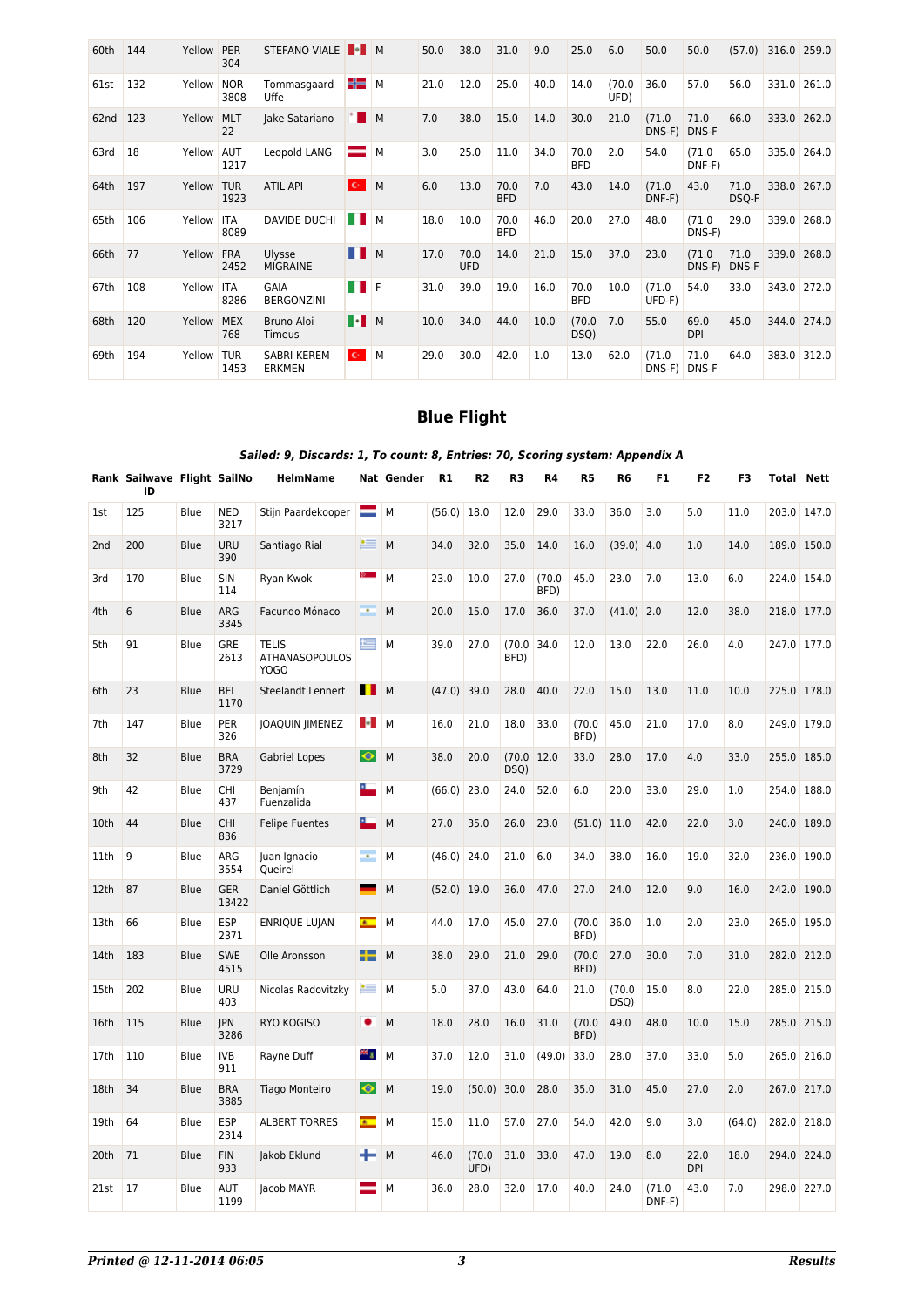| 60th | 144 | Yellow | <b>PER</b><br>304  | <b>STEFANO VIALE</b>                |                      | M | 50.0 | 38.0               | 31.0               | 9.0  | 25.0               | 6.0            | 50.0               | 50.0                  | (57.0)        | 316.0 259.0 |             |
|------|-----|--------|--------------------|-------------------------------------|----------------------|---|------|--------------------|--------------------|------|--------------------|----------------|--------------------|-----------------------|---------------|-------------|-------------|
| 61st | 132 | Yellow | <b>NOR</b><br>3808 | Tommasgaard<br><b>Uffe</b>          | 45                   | M | 21.0 | 12.0               | 25.0               | 40.0 | 14.0               | (70.0)<br>UFD) | 36.0               | 57.0                  | 56.0          |             | 331.0 261.0 |
| 62nd | 123 | Yellow | <b>MLT</b><br>22   | Jake Satariano                      |                      | M | 7.0  | 38.0               | 15.0               | 14.0 | 30.0               | 21.0           | (71.0)<br>DNS-F)   | 71.0<br><b>DNS-F</b>  | 66.0          | 333.0       | 262.0       |
| 63rd | 18  | Yellow | <b>AUT</b><br>1217 | Leopold LANG                        |                      | M | 3.0  | 25.0               | 11.0               | 34.0 | 70.0<br><b>BFD</b> | 2.0            | 54.0               | (71.0<br>DNF-F)       | 65.0          | 335.0       | 264.0       |
| 64th | 197 | Yellow | <b>TUR</b><br>1923 | <b>ATIL API</b>                     | $\mathbf{C}^{\perp}$ | M | 6.0  | 13.0               | 70.0<br><b>BFD</b> | 7.0  | 43.0               | 14.0           | (71.0)<br>DNF-F)   | 43.0                  | 71.0<br>DSQ-F |             | 338.0 267.0 |
| 65th | 106 | Yellow | <b>ITA</b><br>8089 | <b>DAVIDE DUCHI</b>                 | a ka                 | M | 18.0 | 10.0               | 70.0<br><b>BFD</b> | 46.0 | 20.0               | 27.0           | 48.0               | (71.0)<br>DNS-F)      | 29.0          |             | 339.0 268.0 |
| 66th | 77  | Yellow | <b>FRA</b><br>2452 | Ulysse<br><b>MIGRAINE</b>           | H                    | M | 17.0 | 70.0<br><b>UFD</b> | 14.0               | 21.0 | 15.0               | 37.0           | 23.0               | (71.0<br>DNS-F) DNS-F | 71.0          | 339.0       | 268.0       |
| 67th | 108 | Yellow | <b>ITA</b><br>8286 | GAIA<br><b>BERGONZINI</b>           | a ka                 | E | 31.0 | 39.0               | 19.0               | 16.0 | 70.0<br><b>BFD</b> | 10.0           | (71.0)<br>$UFD-F)$ | 54.0                  | 33.0          |             | 343.0 272.0 |
| 68th | 120 | Yellow | <b>MEX</b><br>768  | Bruno Aloi<br>Timeus                | $\blacksquare$       |   | 10.0 | 34.0               | 44.0               | 10.0 | (70.0)<br>DSQ)     | 7.0            | 55.0               | 69.0<br><b>DPI</b>    | 45.0          |             | 344.0 274.0 |
| 69th | 194 | Yellow | <b>TUR</b><br>1453 | <b>SABRI KEREM</b><br><b>ERKMEN</b> | $\mathbf{C}^{\perp}$ | M | 29.0 | 30.0               | 42.0               | 1.0  | 13.0               | 62.0           | (71.0)<br>DNS-F)   | 71.0<br>DNS-F         | 64.0          | 383.0       | 312.0       |

## **Blue Flight**

### *Sailed: 9, Discards: 1, To count: 8, Entries: 70, Scoring system: Appendix A*

|      | Rank Sailwave Flight SailNo<br>ID |             |                     | HelmName                                             |                  | Nat Gender | R1            | R2             | R3                 | R4             | R5             | R6             | F1              | F2                 | F3     |       | Total Nett  |
|------|-----------------------------------|-------------|---------------------|------------------------------------------------------|------------------|------------|---------------|----------------|--------------------|----------------|----------------|----------------|-----------------|--------------------|--------|-------|-------------|
| 1st  | 125                               | Blue        | <b>NED</b><br>3217  | Stijn Paardekooper                                   | =                | М          | (56.0)        | 18.0           | 12.0               | 29.0           | 33.0           | 36.0           | 3.0             | 5.0                | 11.0   | 203.0 | 147.0       |
| 2nd  | 200                               | <b>Blue</b> | <b>URU</b><br>390   | Santiago Rial                                        | $\bullet$ $=$    | M          | 34.0          | 32.0           | 35.0               | 14.0           | 16.0           | $(39.0)$ 4.0   |                 | 1.0                | 14.0   |       | 189.0 150.0 |
| 3rd  | 170                               | Blue        | <b>SIN</b><br>114   | Ryan Kwok                                            | e.               | M          | 23.0          | 10.0           | 27.0               | (70.0)<br>BFD) | 45.0           | 23.0           | 7.0             | 13.0               | 6.0    |       | 224.0 154.0 |
| 4th  | 6                                 | <b>Blue</b> | ARG<br>3345         | Facundo Mónaco                                       | <b>.</b>         | M          | 20.0          | 15.0           | 17.0               | 36.0           | 37.0           | $(41.0)$ 2.0   |                 | 12.0               | 38.0   |       | 218.0 177.0 |
| 5th  | 91                                | Blue        | GRE<br>2613         | <b>TELIS</b><br><b>ATHANASOPOULOS</b><br><b>YOGO</b> | 兰                | M          | 39.0          | 27.0           | (70.0)<br>BFD)     | 34.0           | 12.0           | 13.0           | 22.0            | 26.0               | 4.0    |       | 247.0 177.0 |
| 6th  | 23                                | Blue        | <b>BEL</b><br>1170  | Steelandt Lennert                                    | <b>I</b> M       |            | $(47.0)$ 39.0 |                | 28.0               | 40.0           | 22.0           | 15.0           | 13.0            | 11.0               | 10.0   |       | 225.0 178.0 |
| 7th  | 147                               | Blue        | PER<br>326          | JOAQUIN JIMENEZ                                      | H.               | M          | 16.0          | 21.0           | 18.0               | 33.0           | (70.0)<br>BFD) | 45.0           | 21.0            | 17.0               | 8.0    |       | 249.0 179.0 |
| 8th  | 32                                | <b>Blue</b> | <b>BRA</b><br>3729  | Gabriel Lopes                                        | $\bullet$        | M          | 38.0          | 20.0           | (70.0 12.0<br>DSQ) |                | 33.0           | 28.0           | 17.0            | 4.0                | 33.0   |       | 255.0 185.0 |
| 9th  | 42                                | Blue        | <b>CHI</b><br>437   | Benjamín<br>Fuenzalida                               | ۰.               | M          | (66.0)        | 23.0           | 24.0               | 52.0           | 6.0            | 20.0           | 33.0            | 29.0               | 1.0    |       | 254.0 188.0 |
| 10th | 44                                | <b>Blue</b> | <b>CHI</b><br>836   | <b>Felipe Fuentes</b>                                | ۰.               | M          | 27.0          | 35.0           | 26.0               | 23.0           | (51.0)         | 11.0           | 42.0            | 22.0               | 3.0    |       | 240.0 189.0 |
| 11th | 9                                 | Blue        | ARG<br>3554         | Juan Ignacio<br>Oueirel                              | $\sim$           | M          | (46.0)        | 24.0           | 21.0               | 6.0            | 34.0           | 38.0           | 16.0            | 19.0               | 32.0   |       | 236.0 190.0 |
| 12th | 87                                | <b>Blue</b> | <b>GER</b><br>13422 | Daniel Göttlich                                      |                  | M          | $(52.0)$ 19.0 |                | 36.0               | 47.0           | 27.0           | 24.0           | 12.0            | 9.0                | 16.0   |       | 242.0 190.0 |
| 13th | 66                                | Blue        | <b>ESP</b><br>2371  | ENRIQUE LUJAN                                        | $\blacksquare$   | M          | 44.0          | 17.0           | 45.0               | 27.0           | (70.0)<br>BFD) | 36.0           | 1.0             | 2.0                | 23.0   |       | 265.0 195.0 |
| 14th | 183                               | <b>Blue</b> | <b>SWE</b><br>4515  | Olle Aronsson                                        | ┶                | M          | 38.0          | 29.0           | 21.0               | 29.0           | (70.0)<br>BFD) | 27.0           | 30.0            | 7.0                | 31.0   |       | 282.0 212.0 |
| 15th | 202                               | Blue        | URU<br>403          | Nicolas Radovitzky                                   | $\bullet \equiv$ | M          | 5.0           | 37.0           | 43.0               | 64.0           | 21.0           | (70.0)<br>DSQ) | 15.0            | 8.0                | 22.0   |       | 285.0 215.0 |
| 16th | 115                               | <b>Blue</b> | <b>IPN</b><br>3286  | <b>RYO KOGISO</b>                                    | ٠                | M          | 18.0          | 28.0           | 16.0               | 31.0           | (70.0)<br>BFD) | 49.0           | 48.0            | 10.0               | 15.0   |       | 285.0 215.0 |
| 17th | 110                               | Blue        | <b>IVB</b><br>911   | Rayne Duff                                           | ≈ g              | M          | 37.0          | 12.0           | 31.0               | (49.0)         | 33.0           | 28.0           | 37.0            | 33.0               | 5.0    | 265.0 | 216.0       |
| 18th | 34                                | <b>Blue</b> | <b>BRA</b><br>3885  | <b>Tiago Monteiro</b>                                | $\bullet$        | M          | 19.0          | (50.0)         | 30.0               | 28.0           | 35.0           | 31.0           | 45.0            | 27.0               | 2.0    |       | 267.0 217.0 |
| 19th | 64                                | Blue        | <b>ESP</b><br>2314  | <b>ALBERT TORRES</b>                                 | $\bullet$        | M          | 15.0          | 11.0           | 57.0               | 27.0           | 54.0           | 42.0           | 9.0             | 3.0                | (64.0) |       | 282.0 218.0 |
| 20th | 71                                | <b>Blue</b> | <b>FIN</b><br>933   | Jakob Eklund                                         | --               | M          | 46.0          | (70.0)<br>UFD) | 31.0               | 33.0           | 47.0           | 19.0           | 8.0             | 22.0<br><b>DPI</b> | 18.0   |       | 294.0 224.0 |
| 21st | 17                                | <b>Blue</b> | AUT<br>1199         | Jacob MAYR                                           |                  | M          | 36.0          | 28.0           | 32.0               | 17.0           | 40.0           | 24.0           | (71.0<br>DNF-F) | 43.0               | 7.0    |       | 298.0 227.0 |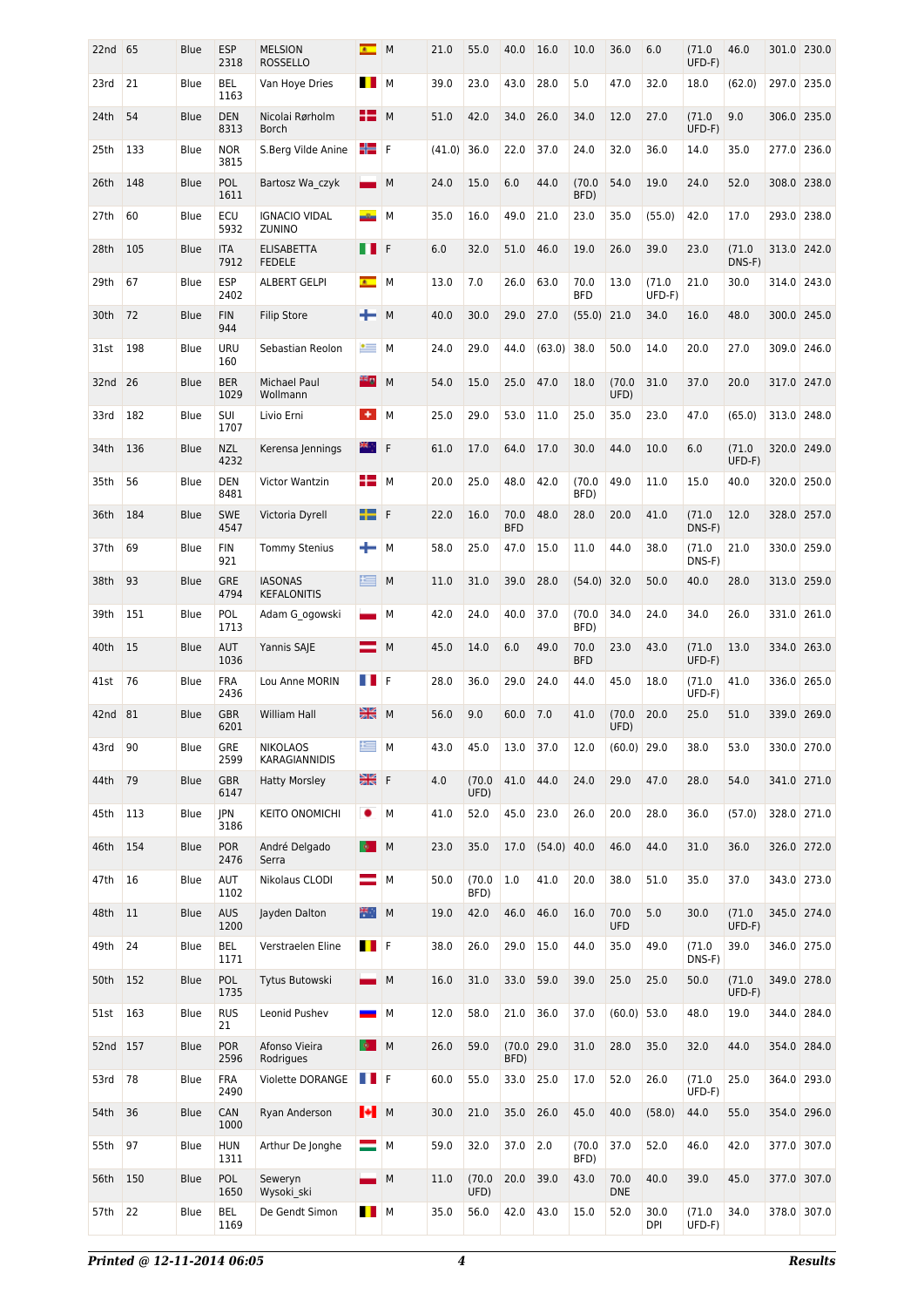| 22nd | 65  | Blue        | <b>ESP</b><br>2318 | <b>MELSION</b><br><b>ROSSELLO</b>    |                 | M | 21.0   | 55.0           | 40.0               | 16.0          | 10.0               | 36.0               | 6.0             | (71.0<br>UFD-F) | 46.0            |       | 301.0 230.0 |
|------|-----|-------------|--------------------|--------------------------------------|-----------------|---|--------|----------------|--------------------|---------------|--------------------|--------------------|-----------------|-----------------|-----------------|-------|-------------|
| 23rd | 21  | Blue        | <b>BEL</b><br>1163 | Van Hoye Dries                       | <b>THE REAL</b> | M | 39.0   | 23.0           | 43.0               | 28.0          | 5.0                | 47.0               | 32.0            | 18.0            | (62.0)          |       | 297.0 235.0 |
| 24th | 54  | <b>Blue</b> | <b>DEN</b><br>8313 | Nicolai Rørholm<br><b>Borch</b>      | H٣              | M | 51.0   | 42.0           | 34.0               | 26.0          | 34.0               | 12.0               | 27.0            | (71.0<br>UFD-F) | 9.0             |       | 306.0 235.0 |
| 25th | 133 | <b>Blue</b> | <b>NOR</b><br>3815 | S.Berg Vilde Anine                   | ╬╛              | F | (41.0) | 36.0           | 22.0               | 37.0          | 24.0               | 32.0               | 36.0            | 14.0            | 35.0            |       | 277.0 236.0 |
| 26th | 148 | <b>Blue</b> | POL<br>1611        | Bartosz Wa czyk                      | $\sim$          | M | 24.0   | 15.0           | 6.0                | 44.0          | (70.0)<br>BFD)     | 54.0               | 19.0            | 24.0            | 52.0            |       | 308.0 238.0 |
| 27th | 60  | Blue        | ECU<br>5932        | <b>IGNACIO VIDAL</b><br>ZUNINO       | -9-             | M | 35.0   | 16.0           | 49.0               | 21.0          | 23.0               | 35.0               | (55.0)          | 42.0            | 17.0            |       | 293.0 238.0 |
| 28th | 105 | <b>Blue</b> | <b>ITA</b><br>7912 | <b>ELISABETTA</b><br><b>FEDELE</b>   | . .             | F | 6.0    | 32.0           | 51.0               | 46.0          | 19.0               | 26.0               | 39.0            | 23.0            | (71.0<br>DNS-F) |       | 313.0 242.0 |
| 29th | 67  | Blue        | <b>ESP</b><br>2402 | <b>ALBERT GELPI</b>                  | $\bullet$       | M | 13.0   | 7.0            | 26.0               | 63.0          | 70.0<br><b>BFD</b> | 13.0               | (71.0<br>UFD-F) | 21.0            | 30.0            |       | 314.0 243.0 |
| 30th | 72  | <b>Blue</b> | <b>FIN</b><br>944  | <b>Filip Store</b>                   | ÷               | M | 40.0   | 30.0           | 29.0               | 27.0          | $(55.0)$ 21.0      |                    | 34.0            | 16.0            | 48.0            |       | 300.0 245.0 |
| 31st | 198 | Blue        | <b>URU</b><br>160  | Sebastian Reolon                     | $\bullet$ $=$   | M | 24.0   | 29.0           | 44.0               | (63.0)        | 38.0               | 50.0               | 14.0            | 20.0            | 27.0            | 309.0 | 246.0       |
| 32nd | 26  | <b>Blue</b> | <b>BER</b><br>1029 | <b>Michael Paul</b><br>Wollmann      | 22 g            | M | 54.0   | 15.0           | 25.0               | 47.0          | 18.0               | (70.0)<br>UFD)     | 31.0            | 37.0            | 20.0            |       | 317.0 247.0 |
| 33rd | 182 | Blue        | SUI<br>1707        | Livio Erni                           | $+1$            | M | 25.0   | 29.0           | 53.0               | 11.0          | 25.0               | 35.0               | 23.0            | 47.0            | (65.0)          | 313.0 | 248.0       |
| 34th | 136 | <b>Blue</b> | <b>NZL</b><br>4232 | Kerensa Jennings                     | ₩.,             | F | 61.0   | 17.0           | 64.0               | 17.0          | 30.0               | 44.0               | 10.0            | 6.0             | (71.0<br>UFD-F) |       | 320.0 249.0 |
| 35th | 56  | Blue        | <b>DEN</b><br>8481 | Victor Wantzin                       | 82              | M | 20.0   | 25.0           | 48.0               | 42.0          | (70.0)<br>BFD)     | 49.0               | 11.0            | 15.0            | 40.0            |       | 320.0 250.0 |
| 36th | 184 | <b>Blue</b> | <b>SWE</b><br>4547 | Victoria Dyrell                      | ┶               | F | 22.0   | 16.0           | 70.0<br><b>BFD</b> | 48.0          | 28.0               | 20.0               | 41.0            | (71.0<br>DNS-F) | 12.0            |       | 328.0 257.0 |
| 37th | 69  | Blue        | <b>FIN</b><br>921  | <b>Tommy Stenius</b>                 | ÷               | M | 58.0   | 25.0           | 47.0               | 15.0          | 11.0               | 44.0               | 38.0            | (71.0<br>DNS-F) | 21.0            |       | 330.0 259.0 |
| 38th | 93  | <b>Blue</b> | <b>GRE</b><br>4794 | <b>IASONAS</b><br><b>KEFALONITIS</b> | 兰               | M | 11.0   | 31.0           | 39.0               | 28.0          | (54.0)             | 32.0               | 50.0            | 40.0            | 28.0            |       | 313.0 259.0 |
| 39th | 151 | Blue        | POL<br>1713        | Adam G ogowski                       |                 | M | 42.0   | 24.0           | 40.0               | 37.0          | (70.0)<br>BFD)     | 34.0               | 24.0            | 34.0            | 26.0            | 331.0 | 261.0       |
| 40th | 15  | <b>Blue</b> | AUT<br>1036        | Yannis SAJE                          | —               | M | 45.0   | 14.0           | 6.0                | 49.0          | 70.0<br><b>BFD</b> | 23.0               | 43.0            | (71.0<br>UFD-F) | 13.0            |       | 334.0 263.0 |
| 41st | 76  | Blue        | <b>FRA</b><br>2436 | Lou Anne MORIN                       | a ka            | F | 28.0   | 36.0           | 29.0               | 24.0          | 44.0               | 45.0               | 18.0            | (71.0<br>UFD-F) | 41.0            | 336.0 | 265.0       |
| 42nd | 81  | <b>Blue</b> | <b>GBR</b><br>6201 | William Hall                         | 공중<br>장점        | M | 56.0   | 9.0            | 60.0               | 7.0           | 41.0               | (70.0)<br>UFD)     | 20.0            | 25.0            | 51.0            |       | 339.0 269.0 |
| 43rd | 90  | Blue        | <b>GRE</b><br>2599 | <b>NIKOLAOS</b><br>KARAGIANNIDIS     | 兰               | M | 43.0   | 45.0           | 13.0               | 37.0          | 12.0               | (60.0)             | 29.0            | 38.0            | 53.0            |       | 330.0 270.0 |
| 44th | 79  | Blue        | <b>GBR</b><br>6147 | <b>Hatty Morsley</b>                 | 端               | F | 4.0    | (70.0)<br>UFD) | 41.0               | 44.0          | 24.0               | 29.0               | 47.0            | 28.0            | 54.0            |       | 341.0 271.0 |
| 45th | 113 | Blue        | JPN<br>3186        | KEITO ONOMICHI                       | ٠               | M | 41.0   | 52.0           | 45.0               | 23.0          | 26.0               | 20.0               | 28.0            | 36.0            | (57.0)          |       | 328.0 271.0 |
| 46th | 154 | <b>Blue</b> | <b>POR</b><br>2476 | André Delgado<br>Serra               | <b>Q</b>        | М | 23.0   | 35.0           | 17.0               | $(54.0)$ 40.0 |                    | 46.0               | 44.0            | 31.0            | 36.0            |       | 326.0 272.0 |
| 47th | 16  | Blue        | AUT<br>1102        | Nikolaus CLODI                       | =               | M | 50.0   | (70.0)<br>BFD) | 1.0                | 41.0          | 20.0               | 38.0               | 51.0            | 35.0            | 37.0            |       | 343.0 273.0 |
| 48th | 11  | <b>Blue</b> | <b>AUS</b><br>1200 | Jayden Dalton                        | ₩.,             | M | 19.0   | 42.0           | 46.0               | 46.0          | 16.0               | 70.0<br><b>UFD</b> | 5.0             | 30.0            | (71.0<br>UFD-F) |       | 345.0 274.0 |
| 49th | 24  | Blue        | BEL<br>1171        | Verstraelen Eline                    | <b>TE</b>       |   | 38.0   | 26.0           | 29.0               | 15.0          | 44.0               | 35.0               | 49.0            | (71.0<br>DNS-F) | 39.0            |       | 346.0 275.0 |
| 50th | 152 | <b>Blue</b> | POL<br>1735        | Tytus Butowski                       |                 | M | 16.0   | 31.0           | 33.0               | 59.0          | 39.0               | 25.0               | 25.0            | 50.0            | (71.0<br>UFD-F) |       | 349.0 278.0 |
| 51st | 163 | Blue        | <b>RUS</b><br>21   | Leonid Pushev                        | <b>START</b>    | M | 12.0   | 58.0           | 21.0               | 36.0          | 37.0               | (60.0)             | 53.0            | 48.0            | 19.0            |       | 344.0 284.0 |
| 52nd | 157 | <b>Blue</b> | <b>POR</b><br>2596 | Afonso Vieira<br>Rodrigues           | <b>Q</b>        | M | 26.0   | 59.0           | (70.0 29.0<br>BFD) |               | 31.0               | 28.0               | 35.0            | 32.0            | 44.0            |       | 354.0 284.0 |
| 53rd | 78  | Blue        | <b>FRA</b><br>2490 | Violette DORANGE                     | <b>II</b> F     |   | 60.0   | 55.0           | 33.0               | 25.0          | 17.0               | 52.0               | 26.0            | (71.0<br>UFD-F) | 25.0            | 364.0 | 293.0       |
| 54th | 36  | <b>Blue</b> | CAN<br>1000        | Ryan Anderson                        | $  \cdot  $ M   |   | 30.0   | 21.0           | 35.0               | 26.0          | 45.0               | 40.0               | (58.0)          | 44.0            | 55.0            |       | 354.0 296.0 |
| 55th | 97  | Blue        | <b>HUN</b><br>1311 | Arthur De Jonghe                     | ═               | M | 59.0   | 32.0           | 37.0               | 2.0           | (70.0)<br>BFD)     | 37.0               | 52.0            | 46.0            | 42.0            |       | 377.0 307.0 |
| 56th | 150 | Blue        | POL<br>1650        | Seweryn<br>Wysoki ski                |                 | M | 11.0   | (70.0)<br>UFD) | 20.0               | 39.0          | 43.0               | 70.0<br><b>DNE</b> | 40.0            | 39.0            | 45.0            |       | 377.0 307.0 |
| 57th | 22  | Blue        | BEL<br>1169        | De Gendt Simon                       | <b>I</b> M      |   | 35.0   | 56.0           | 42.0               | 43.0          | 15.0               | 52.0               | 30.0<br>DPI     | (71.0<br>UFD-F) | 34.0            |       | 378.0 307.0 |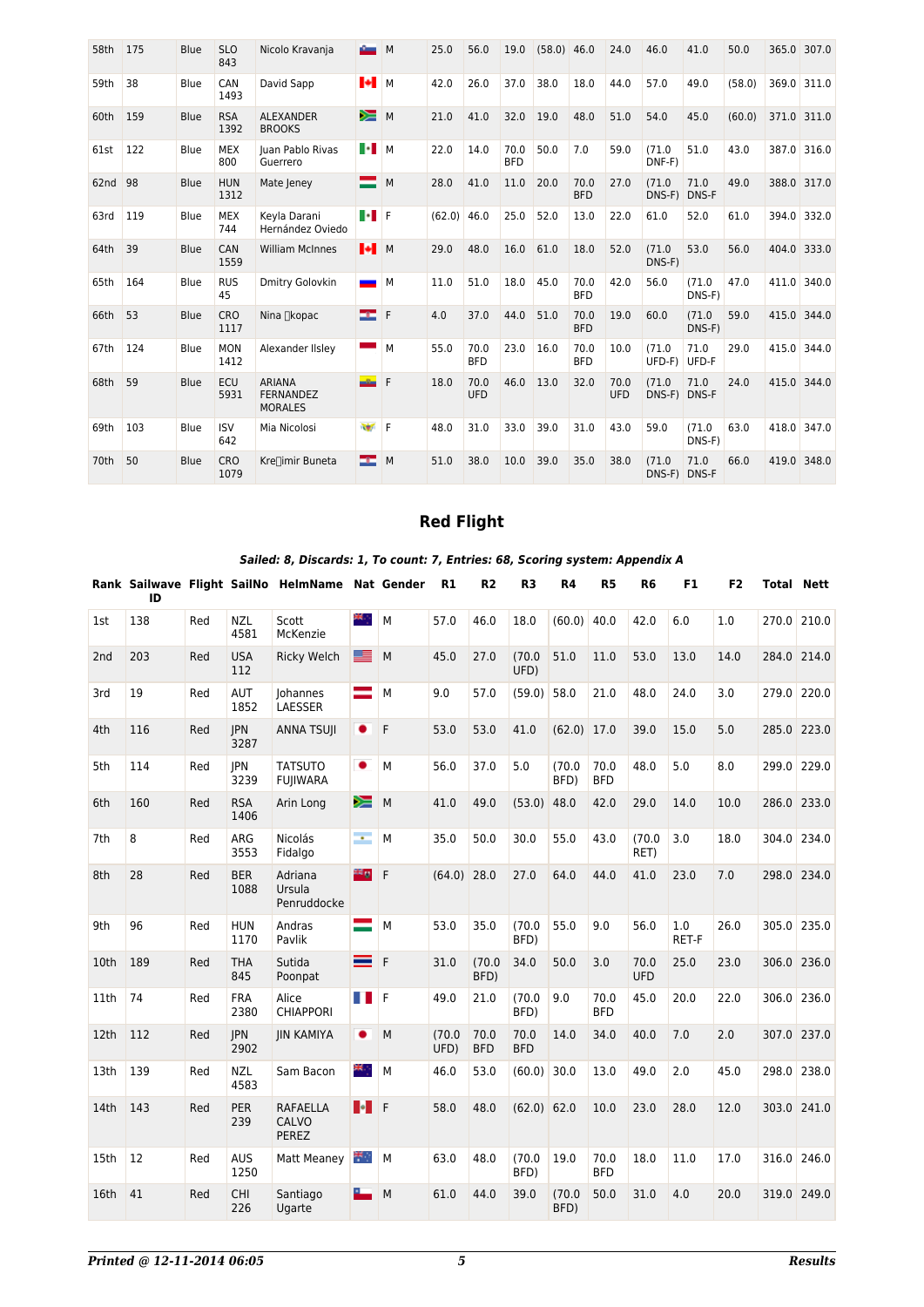| 58th | 175 | <b>Blue</b> | <b>SLO</b><br>843  | Nicolo Kravanja                                     | a Company of                                                               | M | 25.0          | 56.0               | 19.0               | (58.0) | 46.0               | 24.0        | 46.0                  | 41.0                 | 50.0   |             | 365.0 307.0 |
|------|-----|-------------|--------------------|-----------------------------------------------------|----------------------------------------------------------------------------|---|---------------|--------------------|--------------------|--------|--------------------|-------------|-----------------------|----------------------|--------|-------------|-------------|
| 59th | 38  | <b>Blue</b> | CAN<br>1493        | David Sapp                                          | H M                                                                        |   | 42.0          | 26.0               | 37.0               | 38.0   | 18.0               | 44.0        | 57.0                  | 49.0                 | (58.0) | 369.0       | 311.0       |
| 60th | 159 | <b>Blue</b> | <b>RSA</b><br>1392 | <b>ALEXANDER</b><br><b>BROOKS</b>                   | ⋟≡                                                                         | M | 21.0          | 41.0               | 32.0               | 19.0   | 48.0               | 51.0        | 54.0                  | 45.0                 | (60.0) |             | 371.0 311.0 |
| 61st | 122 | Blue        | <b>MEX</b><br>800  | Juan Pablo Rivas<br>Guerrero                        | $\blacksquare$ $\blacksquare$ $\blacksquare$ $\blacksquare$ $\blacksquare$ |   | 22.0          | 14.0               | 70.0<br><b>BFD</b> | 50.0   | 7.0                | 59.0        | (71.0<br>DNF-F)       | 51.0                 | 43.0   |             | 387.0 316.0 |
| 62nd | 98  | <b>Blue</b> | <b>HUN</b><br>1312 | Mate Jeney                                          | $\equiv$                                                                   | M | 28.0          | 41.0               | 11.0               | 20.0   | 70.0<br><b>BFD</b> | 27.0        | (71.0<br>DNS-F)       | 71.0<br>DNS-F        | 49.0   |             | 388.0 317.0 |
| 63rd | 119 | Blue        | <b>MEX</b><br>744  | Keyla Darani<br>Hernández Oviedo                    | $\ \cdot\ $ F                                                              |   | $(62.0)$ 46.0 |                    | 25.0               | 52.0   | 13.0               | 22.0        | 61.0                  | 52.0                 | 61.0   |             | 394.0 332.0 |
| 64th | 39  | Blue        | CAN<br>1559        | <b>William McInnes</b>                              | $\parallel \bullet \parallel$ M                                            |   | 29.0          | 48.0               | 16.0               | 61.0   | 18.0               | 52.0        | (71.0<br>DNS-F)       | 53.0                 | 56.0   |             | 404.0 333.0 |
| 65th | 164 | <b>Blue</b> | <b>RUS</b><br>45   | Dmitry Golovkin                                     | <u> a shekara t</u>                                                        | M | 11.0          | 51.0               | 18.0               | 45.0   | 70.0<br><b>BFD</b> | 42.0        | 56.0                  | (71.0<br>DNS-F)      | 47.0   | 411.0       | 340.0       |
| 66th | 53  | <b>Blue</b> | <b>CRO</b><br>1117 | Nina ∏kopac                                         | a an                                                                       | F | 4.0           | 37.0               | 44.0               | 51.0   | 70.0<br><b>BFD</b> | 19.0        | 60.0                  | (71.0<br>DNS-F)      | 59.0   | 415.0 344.0 |             |
| 67th | 124 | <b>Blue</b> | <b>MON</b><br>1412 | Alexander IIsley                                    |                                                                            | M | 55.0          | 70.0<br><b>BFD</b> | 23.0               | 16.0   | 70.0<br><b>BFD</b> | 10.0        | (71.0<br>UFD-F)       | 71.0<br>UFD-F        | 29.0   |             | 415.0 344.0 |
| 68th | 59  | Blue        | ECU<br>5931        | <b>ARIANA</b><br><b>FERNANDEZ</b><br><b>MORALES</b> | $\overline{\phantom{a}}$                                                   | F | 18.0          | 70.0<br>UFD        | 46.0               | 13.0   | 32.0               | 70.0<br>UFD | (71.0<br>DNS-F) DNS-F | 71.0                 | 24.0   |             | 415.0 344.0 |
| 69th | 103 | Blue        | <b>ISV</b><br>642  | Mia Nicolosi                                        | 100                                                                        | F | 48.0          | 31.0               | 33.0               | 39.0   | 31.0               | 43.0        | 59.0                  | (71.0<br>DNS-F)      | 63.0   | 418.0       | 347.0       |
| 70th | 50  | <b>Blue</b> | <b>CRO</b><br>1079 | Kre∏imir Buneta                                     | œ                                                                          | M | 51.0          | 38.0               | 10.0               | 39.0   | 35.0               | 38.0        | (71.0<br>DNS-F)       | 71.0<br><b>DNS-F</b> | 66.0   |             | 419.0 348.0 |

# **Red Flight**

| Sailed: 8, Discards: 1, To count: 7, Entries: 68, Scoring system: Appendix A |  |  |  |  |
|------------------------------------------------------------------------------|--|--|--|--|
|------------------------------------------------------------------------------|--|--|--|--|

|                 | ID  |     |                    | Rank Sailwave Flight SailNo HelmName Nat Gender |                |          | R1             | R <sub>2</sub>     | R <sub>3</sub>     | R4             | R <sub>5</sub>     | R <sub>6</sub>     | F1           | F <sub>2</sub> | <b>Total Nett</b> |               |
|-----------------|-----|-----|--------------------|-------------------------------------------------|----------------|----------|----------------|--------------------|--------------------|----------------|--------------------|--------------------|--------------|----------------|-------------------|---------------|
| 1st             | 138 | Red | <b>NZL</b><br>4581 | Scott<br>McKenzie                               | ж.             | M        | 57.0           | 46.0               | 18.0               | (60.0)         | 40.0               | 42.0               | 6.0          | 1.0            | 270.0             | 210.0         |
| 2 <sub>nd</sub> | 203 | Red | <b>USA</b><br>112  | <b>Ricky Welch</b>                              | ᆤ              | M        | 45.0           | 27.0               | (70.0)<br>UFD)     | 51.0           | 11.0               | 53.0               | 13.0         | 14.0           |                   | 284.0 214.0   |
| 3rd             | 19  | Red | <b>AUT</b><br>1852 | <b>Johannes</b><br>LAESSER                      | =              | M        | 9.0            | 57.0               | (59.0)             | 58.0           | 21.0               | 48.0               | 24.0         | 3.0            |                   | 279.0 220.0   |
| 4th             | 116 | Red | <b>IPN</b><br>3287 | <b>ANNA TSUJI</b>                               | ٠              | F        | 53.0           | 53.0               | 41.0               | (62.0)         | 17.0               | 39.0               | 15.0         | 5.0            |                   | 285.0 223.0   |
| 5th             | 114 | Red | <b>IPN</b><br>3239 | <b>TATSUTO</b><br><b>FUJIWARA</b>               | ٠              | M        | 56.0           | 37.0               | 5.0                | (70.0)<br>BFD) | 70.0<br><b>BFD</b> | 48.0               | 5.0          | 8.0            |                   | 299.0 229.0   |
| 6th             | 160 | Red | <b>RSA</b><br>1406 | Arin Long                                       | ⋗≡             | M        | 41.0           | 49.0               | (53.0)             | 48.0           | 42.0               | 29.0               | 14.0         | 10.0           |                   | 286.0 233.0   |
| 7th             | 8   | Red | ARG<br>3553        | Nicolás<br>Fidalgo                              | $\sim$         | М        | 35.0           | 50.0               | 30.0               | 55.0           | 43.0               | (70.0)<br>RET)     | 3.0          | 18.0           |                   | 304.0 234.0   |
| 8th             | 28  | Red | <b>BER</b><br>1088 | Adriana<br>Ursula<br>Penruddocke                | 22 O           | <b>F</b> | (64.0)         | 28.0               | 27.0               | 64.0           | 44.0               | 41.0               | 23.0         | 7.0            |                   | 298.0 234.0   |
| 9th             | 96  | Red | <b>HUN</b><br>1170 | Andras<br>Pavlik                                | $\equiv$       | M        | 53.0           | 35.0               | (70.0)<br>BFD)     | 55.0           | 9.0                | 56.0               | 1.0<br>RET-F | 26.0           |                   | $305.0$ 235.0 |
| 10th            | 189 | Red | <b>THA</b><br>845  | Sutida<br>Poonpat                               | ═              | <b>F</b> | 31.0           | (70.0)<br>BFD)     | 34.0               | 50.0           | 3.0                | 70.0<br><b>UFD</b> | 25.0         | 23.0           |                   | 306.0 236.0   |
| 11th            | 74  | Red | <b>FRA</b><br>2380 | Alice<br><b>CHIAPPORI</b>                       | <b>TIF</b>     |          | 49.0           | 21.0               | (70.0)<br>BFD)     | 9.0            | 70.0<br><b>BFD</b> | 45.0               | 20.0         | 22.0           |                   | $306.0$ 236.0 |
| 12th            | 112 | Red | <b>IPN</b><br>2902 | <b>JIN KAMIYA</b>                               | ٠              | M        | (70.0)<br>UFD) | 70.0<br><b>BFD</b> | 70.0<br><b>BFD</b> | 14.0           | 34.0               | 40.0               | 7.0          | 2.0            |                   | 307.0 237.0   |
| 13th            | 139 | Red | <b>NZL</b><br>4583 | Sam Bacon                                       | ж,             | M        | 46.0           | 53.0               | (60.0)             | 30.0           | 13.0               | 49.0               | 2.0          | 45.0           |                   | 298.0 238.0   |
| 14th            | 143 | Red | <b>PER</b><br>239  | <b>RAFAELLA</b><br><b>CALVO</b><br>PEREZ        | <b>I</b> III F |          | 58.0           | 48.0               | (62.0)             | 62.0           | 10.0               | 23.0               | 28.0         | 12.0           |                   | 303.0 241.0   |
| 15th            | 12  | Red | <b>AUS</b><br>1250 | Matt Meaney                                     | ₩.,            | M        | 63.0           | 48.0               | (70.0)<br>BFD)     | 19.0           | 70.0<br><b>BFD</b> | 18.0               | 11.0         | 17.0           |                   | 316.0 246.0   |
| 16th            | 41  | Red | CHI<br>226         | Santiago<br>Ugarte                              |                | M        | 61.0           | 44.0               | 39.0               | (70.0)<br>BFD) | 50.0               | 31.0               | 4.0          | 20.0           |                   | 319.0 249.0   |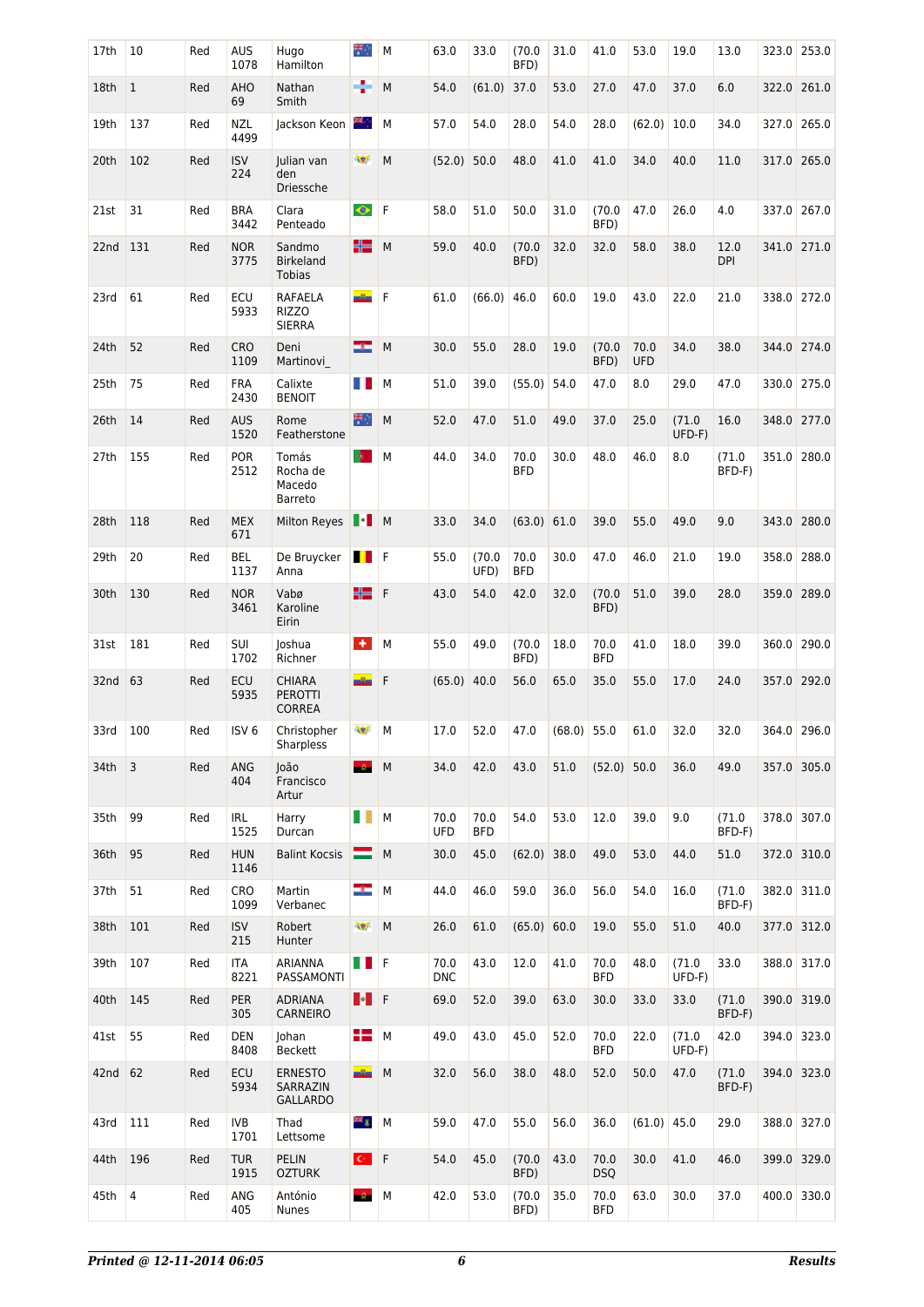| 17th     | 10           | Red | <b>AUS</b><br>1078 | Hugo<br>Hamilton                                 | ₩.               | М         | 63.0        | 33.0               | (70.0)<br>BFD)     | 31.0   | 41.0               | 53.0               | 19.0            | 13.0               | 323.0 | 253.0       |
|----------|--------------|-----|--------------------|--------------------------------------------------|------------------|-----------|-------------|--------------------|--------------------|--------|--------------------|--------------------|-----------------|--------------------|-------|-------------|
| 18th     | $\mathbf{1}$ | Red | <b>AHO</b><br>69   | Nathan<br>Smith                                  | ÷                | M         | 54.0        | (61.0)             | 37.0               | 53.0   | 27.0               | 47.0               | 37.0            | 6.0                |       | 322.0 261.0 |
| 19th     | 137          | Red | <b>NZL</b><br>4499 | Jackson Keon                                     | 88 p             | М         | 57.0        | 54.0               | 28.0               | 54.0   | 28.0               | (62.0)             | 10.0            | 34.0               | 327.0 | 265.0       |
| 20th     | 102          | Red | <b>ISV</b><br>224  | Julian van<br>den<br>Driessche                   | 辦                | M         | (52.0)      | 50.0               | 48.0               | 41.0   | 41.0               | 34.0               | 40.0            | 11.0               |       | 317.0 265.0 |
| 21st     | 31           | Red | <b>BRA</b><br>3442 | Clara<br>Penteado                                | $\bullet$        | F         | 58.0        | 51.0               | 50.0               | 31.0   | (70.0)<br>BFD)     | 47.0               | 26.0            | 4.0                | 337.0 | 267.0       |
| 22nd     | 131          | Red | <b>NOR</b><br>3775 | Sandmo<br><b>Birkeland</b><br><b>Tobias</b>      | ╬═               | M         | 59.0        | 40.0               | (70.0)<br>BFD)     | 32.0   | 32.0               | 58.0               | 38.0            | 12.0<br><b>DPI</b> |       | 341.0 271.0 |
| 23rd     | 61           | Red | ECU<br>5933        | RAFAELA<br><b>RIZZO</b><br><b>SIERRA</b>         | $-2n$            | F         | 61.0        | (66.0)             | 46.0               | 60.0   | 19.0               | 43.0               | 22.0            | 21.0               |       | 338.0 272.0 |
| 24th     | 52           | Red | <b>CRO</b><br>1109 | Deni<br>Martinovi                                | œ                | M         | 30.0        | 55.0               | 28.0               | 19.0   | (70.0)<br>BFD)     | 70.0<br><b>UFD</b> | 34.0            | 38.0               |       | 344.0 274.0 |
| 25th     | 75           | Red | <b>FRA</b><br>2430 | Calixte<br><b>BENOIT</b>                         | H                | M         | 51.0        | 39.0               | (55.0)             | 54.0   | 47.0               | 8.0                | 29.0            | 47.0               | 330.0 | 275.0       |
| 26th     | 14           | Red | <b>AUS</b><br>1520 | Rome<br>Featherstone                             | ₩.               | M         | 52.0        | 47.0               | 51.0               | 49.0   | 37.0               | 25.0               | (71.0<br>UFD-F) | 16.0               |       | 348.0 277.0 |
| 27th     | 155          | Red | <b>POR</b><br>2512 | Tomás<br>Rocha de<br>Macedo<br><b>Barreto</b>    | $\mathbf{Q}$     | M         | 44.0        | 34.0               | 70.0<br><b>BFD</b> | 30.0   | 48.0               | 46.0               | 8.0             | (71.0<br>BFD-F)    | 351.0 | 280.0       |
| 28th     | 118          | Red | <b>MEX</b><br>671  | <b>Milton Reyes</b>                              | $\blacksquare$ M |           | 33.0        | 34.0               | (63.0)             | 61.0   | 39.0               | 55.0               | 49.0            | 9.0                |       | 343.0 280.0 |
| 29th     | 20           | Red | BEL<br>1137        | De Bruycker<br>Anna                              | H                | <b>IF</b> | 55.0        | (70.0)<br>UFD)     | 70.0<br><b>BFD</b> | 30.0   | 47.0               | 46.0               | 21.0            | 19.0               | 358.0 | 288.0       |
| 30th     | 130          | Red | <b>NOR</b><br>3461 | Vabø<br>Karoline<br>Eirin                        | ╬═               | F         | 43.0        | 54.0               | 42.0               | 32.0   | (70.0)<br>BFD)     | 51.0               | 39.0            | 28.0               |       | 359.0 289.0 |
| 31st     | 181          | Red | SUI<br>1702        | loshua<br>Richner                                | $\ddot{}$        | M         | 55.0        | 49.0               | (70.0)<br>BFD)     | 18.0   | 70.0<br><b>BFD</b> | 41.0               | 18.0            | 39.0               | 360.0 | 290.0       |
| 32nd     | 63           | Red | ECU<br>5935        | <b>CHIARA</b><br><b>PEROTTI</b><br><b>CORREA</b> | $-2-$            | F         | (65.0)      | 40.0               | 56.0               | 65.0   | 35.0               | 55.0               | 17.0            | 24.0               |       | 357.0 292.0 |
| 33rd     | 100          | Red | ISV <sub>6</sub>   | Christopher<br>Sharpless                         | <b>Rep</b>       | М         | 17.0        | 52.0               | 47.0               | (68.0) | 55.0               | 61.0               | 32.0            | 32.0               |       | 364.0 296.0 |
| $34th$ 3 |              | Red | <b>ANG</b><br>404  | loão<br>Francisco<br>Artur                       | $-2$ M           |           | 34.0        | 42.0               | 43.0               | 51.0   | $(52.0)$ 50.0      |                    | 36.0            | 49.0               |       | 357.0 305.0 |
| 35th     | 99           | Red | IRL<br>1525        | Harry<br>Durcan                                  | H I              | М         | 70.0<br>UFD | 70.0<br><b>BFD</b> | 54.0               | 53.0   | 12.0               | 39.0               | 9.0             | (71.0<br>BFD-F)    |       | 378.0 307.0 |
| 36th     | 95           | Red | <b>HUN</b><br>1146 | <b>Balint Kocsis</b>                             | ▀                | M         | 30.0        | 45.0               | (62.0)             | 38.0   | 49.0               | 53.0               | 44.0            | 51.0               |       | 372.0 310.0 |
| 37th     | 51           | Red | <b>CRO</b><br>1099 | Martin<br>Verbanec                               | ÷.               | M         | 44.0        | 46.0               | 59.0               | 36.0   | 56.0               | 54.0               | 16.0            | (71.0<br>BFD-F)    |       | 382.0 311.0 |
| 38th     | 101          | Red | <b>ISV</b><br>215  | Robert<br>Hunter                                 | w                | M         | 26.0        | 61.0               | (65.0)             | 60.0   | 19.0               | 55.0               | 51.0            | 40.0               |       | 377.0 312.0 |
| 39th     | 107          | Red | <b>ITA</b><br>8221 | <b>ARIANNA</b><br>PASSAMONTI                     | <b>TI</b> F      |           | 70.0<br>DNC | 43.0               | 12.0               | 41.0   | 70.0<br>BFD        | 48.0               | (71.0<br>UFD-F) | 33.0               |       | 388.0 317.0 |
| 40th     | 145          | Red | PER<br>305         | <b>ADRIANA</b><br>CARNEIRO                       |                  |           | 69.0        | 52.0               | 39.0               | 63.0   | 30.0               | 33.0               | 33.0            | (71.0<br>BFD-F)    |       | 390.0 319.0 |
| 41st     | 55           | Red | <b>DEN</b><br>8408 | Johan<br>Beckett                                 | 22               | М         | 49.0        | 43.0               | 45.0               | 52.0   | 70.0<br><b>BFD</b> | 22.0               | (71.0<br>UFD-F) | 42.0               |       | 394.0 323.0 |
| 42nd 62  |              | Red | <b>ECU</b><br>5934 | <b>ERNESTO</b><br>SARRAZIN<br><b>GALLARDO</b>    | $-2\pi$          | M         | 32.0        | 56.0               | 38.0               | 48.0   | 52.0               | 50.0               | 47.0            | (71.0<br>BFD-F)    |       | 394.0 323.0 |
| 43rd     | 111          | Red | <b>IVB</b><br>1701 | Thad<br>Lettsome                                 | ** 3             | M         | 59.0        | 47.0               | 55.0               | 56.0   | 36.0               | (61.0)             | 45.0            | 29.0               |       | 388.0 327.0 |
| 44th     | 196          | Red | <b>TUR</b><br>1915 | <b>PELIN</b><br><b>OZTURK</b>                    | $C$ $F$          |           | 54.0        | 45.0               | (70.0)<br>BFD)     | 43.0   | 70.0<br><b>DSQ</b> | 30.0               | 41.0            | 46.0               |       | 399.0 329.0 |
| 45th     | 4            | Red | ANG<br>405         | António<br>Nunes                                 | $-\Delta$        | М         | 42.0        | 53.0               | (70.0)<br>BFD)     | 35.0   | 70.0<br><b>BFD</b> | 63.0               | 30.0            | 37.0               |       | 400.0 330.0 |